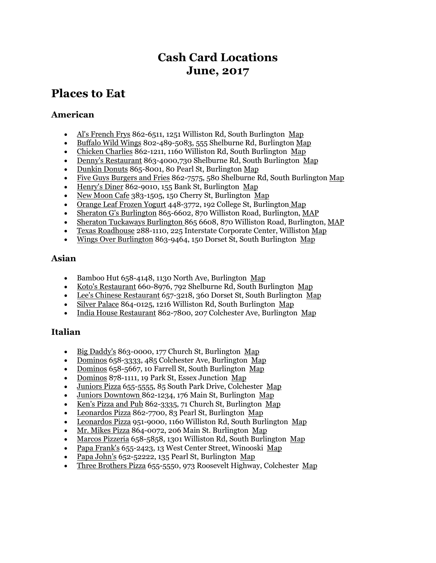## **Cash Card Locations June, 2017**

## **Places to Eat**

## **American**

- [Al's French Frys](http://www.alsfrenchfrys.com/) 862-6511, 1251 Williston Rd, South Burlington [Map](https://plus.google.com/106737252031973497883/about?gl=us&hl=en)
- [Buffalo Wild Wings](http://www.buffalowildwings.com/) 802-489-5083, 555 Shelburne Rd, Burlington [Map](http://www.buffalowildwings.com/en/locations/Detail/3471)
- [Chicken Charlies](http://www.uvm.edu/~catcard/chicken.html) 862-1211, 1160 Williston Rd, South Burlington [Map](https://plus.google.com/110687472972431238786/about?gl=us&hl=en)
- [Denny's Restaurant](http://www.dennys.com/en/) 863-4000,730 Shelburne Rd, South Burlington [Map](https://plus.google.com/113024473073020717194/about?gl=us&hl=en)
- [Dunkin Donuts](http://www.dunkindonuts.com/dunkindonuts/en.html) 865-8001, 80 Pearl St, Burlington [Map](https://plus.google.com/114333888110148860645/about?gl=us&hl=en#114333888110148860645/about?gl=us&hl=en)
- [Five Guys Burgers and Fries](http://www.fiveguys.com/) 862-7575, 580 Shelburne Rd, South Burlington [Map](https://plus.google.com/105510046532394727230/about?gl=us&hl=en)
- [Henry's Diner](http://www.uvm.edu/~catcard/henrys.html) 862-9010, 155 Bank St, Burlington [Map](https://plus.google.com/115376232212946169408/about?gl=us&hl=en#115376232212946169408/about?gl=us&hl=en)
- [New Moon Cafe](http://www.newmoonvt.com/) 383-1505, 150 Cherry St, Burlington [Map](https://plus.google.com/100941693210419575878/about?gl=us&hl=en)
- [Orange Leaf Frozen Yogurt](http://orangeleafyogurt.com/) 448-3772, 192 College St, Burlington [Map](https://www.google.com/maps/place/Orange+Leaf+Frozen+Yogurt/@44.477208,-73.2120504,17z/data=!3m1!4b1!4m2!3m1!1s0x4cca7af7980cb941:0x40d1f785415e1d3a)
- [Sheraton G's Burlington](http://www.sheratonburlington.com/gs-burlington-restaurant) 865-6602, 870 Williston Road, Burlington, [MAP](https://www.google.com/maps/place/G)
- [Sheraton Tuckaways Burlington](http://www.sheratonburlington.com/tuckaways-burlington-pub) 865 6608, 870 Williston Road, Burlington, [MAP](https://www.google.com/maps/place/Sheraton+Burlington+Hotel+%26+Conference+Center/@44.4721823,-73.1867929,17z/data=!3m1!4b1!4m2!3m1!1s0x4cca7a31d6bee86d:0x25797d043ecbffeb)
- [Texas Roadhouse](http://www.texasroadhouse.com/) 288-1110, 225 Interstate Corporate Center, Williston [Map](http://www.texasroadhouse.com/locations/find-us)
- [Wings Over Burlington](http://www.wingsover.com/) 863-9464, 150 Dorset St, South Burlington [Map](https://plus.google.com/113058568624562024506/about?gl=us&hl=en)

### **Asian**

- Bamboo Hut 658-4148, 1130 North Ave, Burlington [Map](https://plus.google.com/100006038478663953415/about?gl=us&hl=en)
- [Koto's Restaurant](http://www.kotovt.com/) 660-8976, 792 Shelburne Rd, South Burlington [Map](https://plus.google.com/108531497390194777759/about?gl=us&hl=en)
- [Lee's Chinese Restaurant](http://leeschinesesouthburlington.com/) 657-3218, 360 Dorset St, South Burlington [Map](https://plus.google.com/103188936064997546326/about?gl=us&hl=en)
- [Silver Palace](http://silverpalaceofvt.com/) 864-0125, 1216 Williston Rd, South Burlington [Map](https://plus.google.com/113271387150863305889/about?gl=us&hl=en)
- [India House Restaurant](https://www.facebook.com/pages/India-House-Restaurant/104923452884084) 862-7800, 207 Colchester Ave, Burlington [Map](https://plus.google.com/113681846599990454236/about?gl=us&hl=en)

### **Italian**

- $\cdot$  [Big Daddy's](http://bigdaddysdelivers.com/) 863-0000, 177 Church St, Burlington [Map](https://plus.google.com/106015130263550666864/about?gl=us&hl=en)
- [Dominos](http://www.dominos.com/Public-EN/) 658-3333, 485 Colchester Ave, Burlington [Map](https://plus.google.com/117871367273175900639/about?gl=us&hl=en)
- [Dominos](http://www.dominos.com/Public-EN/) 658-5667, 10 Farrell St, South Burlington [Map](https://plus.google.com/114062660140276965019/about?gl=us&hl=en)
- [Dominos](http://www.dominos.com/Public-EN/) 878-1111, 19 Park St, Essex Junction [Map](https://plus.google.com/111384750585740956262/about?gl=us&hl=en)
- [Juniors Pizza](http://www.juniorsvt.com/) 655-5555, 85 South Park Drive, Colchester [Map](https://plus.google.com/100366940872229817606/about?gl=us&hl=en)
- [Juniors Downtown](http://www.juniorsdowntown.com/) 862-1234, 176 Main St, Burlington [Map](https://plus.google.com/114460001151030457653/about?gl=us&hl=en)
- [Ken's Pizza and Pub](https://plus.google.com/110625660712101818484/about?gl=us&hl=en) 862-3335, 71 Church St, Burlington [Map](https://plus.google.com/110625660712101818484/about?gl=us&hl=en)
- [Leonardos Pizza](http://www.leonardosonline.com/index.php) 862-7700, 83 Pearl St, Burlington [Map](https://plus.google.com/100036657182807507946/about?gl=us&hl=en)
- [Leonardos Pizza](http://www.leonardosonline.com/index.php) 951-9000, 1160 Williston Rd, South Burlington [Map](https://plus.google.com/115922602230409045368/about?gl=us&hl=en=)
- [Mr. Mikes Pizza](http://www.mrmikespizzavt.com/) 864-0072, 206 Main St. Burlington [Map](https://plus.google.com/111873231598614926616/about?gl=us&hl=en)
- [Marcos Pizzeria](http://www.marcospizzavt.com/) 658-5858, 1301 Williston Rd, South Burlington [Map](https://plus.google.com/105210136241000155837/about?gl=us&hl=en)
- [Papa Frank's](http://www.papa-franks.com/) 655-2423, 13 West Center Street, Winooski [Map](https://plus.google.com/111924477405345231964/about?gl=us&hl=en)
- [Papa John's](https://www.papajohns.com/) 652-52222, 135 Pearl St, Burlington [Map](https://plus.google.com/108013250346447636544/about?gl=us&hl=en)
- [Three Brothers Pizza](http://threebrotherspizzavt.com/) 655-5550, 973 Roosevelt Highway, Colchester [Map](https://www.google.com/maps/place/Three+Brothers+Pizza+and+Grill/@44.516308,-73.1795298,17z/data=!3m1!4b1!4m2!3m1!1s0x4cca708b7e46bbcb:0xa442d69abff599cf)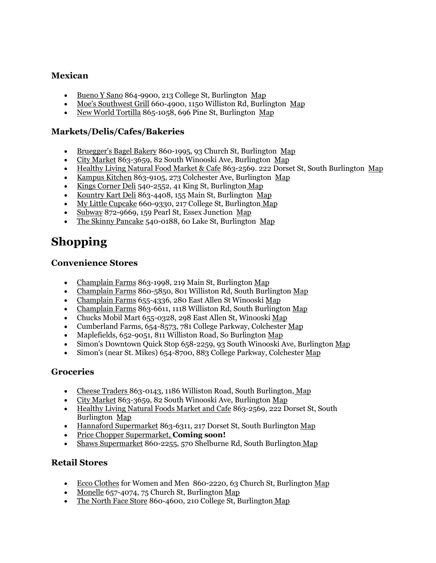## **Mexican**

- [Bueno Y Sano](http://www.buenoysano.com/) 864-9900, 213 College St, Burlington [Map](https://plus.google.com/105517613235878702409/about?gl=us&hl=en#105517613235878702409/about?gl=us&hl=en)
- [Moe's Southwest Grill](http://www.moes.com/) 660-4900, 1150 Williston Rd, Burlington [Map](https://plus.google.com/111572375225579104505/about?gl=us&hl=en#111572375225579104505/about?gl=us&hl=en)
- [New World Tortilla](http://www.newworldtortilla.com/) 865-1058, 696 Pine St, Burlington [Map](https://plus.google.com/100031955590826544655/about?gl=us&hl=en#100031955590826544655/about?gl=us&hl=en)

### **Markets/Delis/Cafes/Bakeries**

- [Bruegger's Bagel Bakery](http://www.brueggers.com/) 860-1995, 93 Church St, Burlington [Map](https://plus.google.com/116613516047760461648/about?gl=us&hl=en)
- [City Market](http://www.citymarket.coop/) 863-3659, 82 South Winooski Ave, Burlington [Map](https://plus.google.com/116034966910320742241/about?gl=us&hl=en)
- [Healthy Living Natural Food Market & Cafe](http://www.healthylivingmarket.com/) 863-2569. 222 Dorset St, South Burlington [Map](https://plus.google.com/114048382327585379482/about?gl=us&hl=en)
- [Kampus Kitchen](http://kampuskitchen.com/) 863-9105, 273 Colchester Ave, Burlington [Map](https://plus.google.com/118437645471995991407/about?gl=us&hl=en)
- [Kings Corner Deli](http://www.kingscornerdeli.com/) 540-2552, 41 King St, Burlington [Map](http://www.kingscornerdeli.com/about-us)
- [Kountry Kart Deli](http://kountrykartdeli.com/) 863-4408, 155 Main St, Burlington [Map](https://plus.google.com/102649152604420830653/about?gl=us&hl=en)
- [My Little Cupcake](http://mylittlecupcakevt.com/) 660-9330, 217 College St, Burlington [Map](https://www.google.com/maps/place/My+Little+Cupcake/@44.4770118,-73.2112242,17z/data=!4m2!3m1!1s0x4cca7af7eacfb297:0x7548f8cacdb0df6c)
- [Subway](http://www.subway.com/subwayroot/index.aspx) 872-9669, 159 Pearl St, Essex Junction [Map](https://plus.google.com/114602094528680517654/about?gl=us&hl=en)
- [The Skinny Pancake](http://www.skinnypancake.com/) 540-0188, 60 Lake St, Burlington [Map](https://www.google.com/maps/place/Lake+%26+College+Bldg,+60+Lake+St,+Burlington,+VT+05401/@44.4774721,-73.2196927,17z/data=!4m2!3m1!1s0x4cca7af07957019b:0x26500167c2b1f442)

# **Shopping**

#### **Convenience Stores**

- [Champlain Farms](http://www.champlainfarms.com/) 863-1998, 219 Main St, Burlington [Map](http://www.champlainfarms.com/proddir/archive/542/0/50/?Search%5Bcity%5D=Burlington&image=)
- [Champlain Farms](http://www.champlainfarms.com/) 860-5850, 801 Williston Rd, South Burlington [Map](http://www.champlainfarms.com/proddir/archive/542/0/50/?Search%5Bcity%5D=Burlington&image=)
- [Champlain Farms](http://www.champlainfarms.com/) 655-4336, 280 East Allen St Winooski [Map](http://www.champlainfarms.com/proddir/archive/542/0/50/?Search%5Bcity%5D=Burlington&image=)
- [Champlain Farms](http://www.champlainfarms.com/proddir/archive/542/0/50/?Search%5Bcity%5D=Burlington&image=) 863-6611, 1118 Williston Rd, South Burlington [Map](http://www.champlainfarms.com/proddir/archive/542/0/50/?Search%5Bcity%5D=Burlington&image=)
- Chucks Mobil Mart 655-0328, 298 East Allen St, Winooski [Map](https://www.google.com/maps/place/Mobil/@44.4930466,-73.1749737,17z/data=!3m1!4b1!4m2!3m1!1s0x4cca7a733f4942b3:0x4449c05027cd946b)
- Cumberland Farms, 654-8573, 781 College Parkway, Colchester [Map](https://www.google.com/maps/place/Cumberland+Farms/@44.4978162,-73.1585548,17z/data=!3m1!4b1!4m2!3m1!1s0x4cca70a7c328e4ef:0xdf1d6756621c447)
- Maplefields, 652-9051, 811 Williston Road, So Burlington [Map](https://www.google.com/maps/place/Maplefields+At+the+University/@44.4715538,-73.1891873,17z/data=!3m1!4b1!4m2!3m1!1s0x4cca7a48661a9f45:0x33318435fd6988f1)
- Simon's Downtown Quick Stop 658-2259, 93 South Winooski Ave, Burlington [Map](https://www.google.com/maps/place/Mobil/@44.4779644,-73.2112746,17z/data=!3m1!4b1!4m2!3m1!1s0x4cca7af7b166ea77:0x66ce23d063790ea9)
- Simon's (near St. Mikes) 654-8700, 883 College Parkway, Colchester [Map](https://www.google.com/maps/place/Simon)

### **Groceries**

- [Cheese Traders](http://cheesetraders.com/) 863-0143, 1186 Williston Road, South Burlington, [Map](https://www.google.com/maps/place/Cheese+Traders+and+Wine+Sellers/@44.4688113,-73.1763194,17z/data=!3m1!4b1!4m2!3m1!1s0x4cca7a3031081881:0xe3cb207fc7a7bddf)
- 
- [City Market](http://www.citymarket.coop/) 863-3659, 82 South Winooski Ave, Burlington [Map](http://maps.google.com/maps?rls=com.microsoft:en-us:IE-Address&oe=UTF-8&rlz=1I7ADRA_en&um=1&ie=UTF-8&q=city+market+map&fb=1&gl=us&hq=city+market&hnear=0x4cca7a55b69b55e5:0xc35fe519720e498e,Burlington,+VT&cid=0,0,8476465354254798193&sa=X&ei=dEkmUcqPDObp0gGI_4DgDw&ved=0CLcBEPwSMAg)<br>• Healthy Living Natural Foods Market and Cafe 862-2560, 222 D [Healthy Living Natural Foods Market and Cafe](http://www.healthylivingmarket.com/) 863-2569, 222 Dorset St, South Burlington [Map](http://maps.google.com/maps?rls=com.microsoft:en-us:IE-Address&oe=UTF-8&rlz=1I7ADRA_en&um=1&ie=UTF-8&q=city+market+map&fb=1&gl=us&hq=city+market&hnear=0x4cca7a55b69b55e5:0xc35fe519720e498e,Burlington,+VT&cid=0,0,8476465354254798193&sa=X&ei=dEkmUcqPDObp0gGI_4DgDw&ved=0CLcBEPwSMAg)
- [Hannaford Supermarket](http://www.hannaford.com/) 863-6311, 217 Dorset St, South Burlington [Map](https://www.google.com/maps/place/Hannaford+Supermarket/@44.462144,-73.1837902,17z/data=!3m1!4b1!4m2!3m1!1s0x4cca7a3334d698b7:0x7ea61050702023b)
- [Price Chopper Supermarket,](http://www.pricechopper.com/) **Coming soon!**
- [Shaws Supermarket](http://www.shaws.com/#2) 860-2255, 570 Shelburne Rd, South Burlington [Map](https://www.google.com/maps/place/Shaw)

### **Retail Stores**

- [Ecco Clothes](http://eccoclothesboutique.com/) for Women and Men 860-2220, 63 Church St, Burlington [Map](https://www.google.com/maps/place/ECCO+Clothes+For+Women+%26+Men/@44.47806,-73.2128927,17z/data=!3m1!4b1!4m2!3m1!1s0x4cca7af705b59147:0x7591952c7078e52)
- [Monelle](http://monellevermont.com/) 657-4074, 75 Church St, Burlington [Map](https://www.google.com/maps/place/Monelle/@44.4783571,-73.2127794,17z/data=!3m1!4b1!4m2!3m1!1s0x4cca7af7031c78f9:0x999800200a8187fd)
- [The North Face Store](http://www.klmountainshop.com/) 860-4600, 210 College St, Burlington [Map](https://www.google.com/maps/place/210+College+St,+Burlington,+VT+05401/@44.477358,-73.211281,17z/data=!3m1!4b1!4m2!3m1!1s0x4cca7af7bf2599b3:0x9c1613a37a14a187)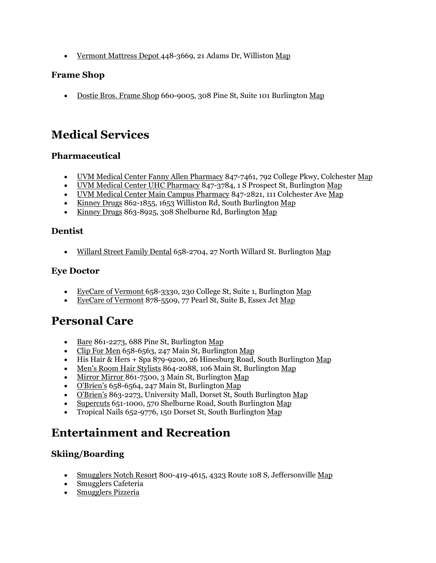[Vermont Mattress Depot](http://www.vtmattressdepot.com/) 448-3669, 21 Adams Dr, Williston [Map](https://www.google.com/maps/place/Vermont+Mattress+Depot/@44.4590735,-73.1349695,17z/data=!3m1!4b1!4m2!3m1!1s0x4cca79a14cd50bdb:0x197bb9f94fff3b51)

## **Frame Shop**

[Dostie Bros. Frame Shop](http://www.dostiebrosframeshop.com/) 660-9005, 308 Pine St, Suite 101 Burlington [Map](https://www.google.com/maps/place/Dostie+Bros.+Frame+Shop/@44.4708006,-73.2149116,17z/data=!3m1!4b1!4m2!3m1!1s0x4cca7aff413d6825:0x6b8b3ce3d81fa188)

## **Medical Services**

## **Pharmaceutical**

- [UVM Medical Center Fanny Allen Pharmacy](http://www.fahc.org/Pharmacy_Outpatient/index.html) 847-7461, 792 College Pkwy, Colchester [Map](https://www.google.com/maps/place/Fletcher+Allen+Pharmacy+-+Fanny+Allen+Campus/@44.49664,-73.157654,17z/data=!4m5!1m2!2m1!1sfanny+allen+pharmacy!3m1!1s0x4cca70a8175390a5:0xbad5234caae2854a)
- [UVM Medical Center UHC Pharmacy](http://www.fahc.org/Pharmacy_Outpatient/index.html) 847-3784, 1 S Prospect St, Burlington [Map](https://www.google.com/maps/place/University+of+Vermont+Medical+Center+-+Outpatient+Pharmacy/@44.480221,-73.201272,17z/data=!3m1!4b1!4m2!3m1!1s0x4cca7a5ea078edb5:0xa4bbe1d671a84457?hl=en)
- [UVM Medical Center Main Campus Pharmacy](http://www.fletcherallen.org/services/other_services/specialties/pharmacy_services/services/outpatient_pharmacy/medical_center_campus_burlington_.html) 847-2821, 111 Colchester Ave [Map](https://www.google.com/maps/place/The+University+of+Vermont+Medical+Center/@44.480221,-73.201272,17z/data=!4m5!1m2!2m1!1suvm+medical+center!3m1!1s0x4cca7a433a79dc83:0x39dc5d0d1073ad95)
- [Kinney Drugs](https://secure.kinneydrugs.com/locations.php/) 862-1855, 1653 Williston Rd, South Burlington [Map](https://secure.kinneydrugs.com/locations.php?store_number=55)
- [Kinney Drugs](https://secure.kinneydrugs.com/pages/pharmacy-services.php) 863-8925, 308 Shelburne Rd, Burlington [Map](https://secure.kinneydrugs.com/locations.php?store_number=29)

### **Dentist**

[Willard Street Family Dental](http://www.willardstreetdental.com/) 658-2704, 27 North Willard St. Burlington [Map](https://www.google.com/maps/place/Willard+Street+Family+Dental:+Dr.+Adam+DeSanctis+DDS+Dr+Kristopher+Keeton+DDS/@44.481467,-73.2081777,17z/data=!3m1!4b1!4m5!3m4!1s0x4cca7a5f6f015629:0xc1e7644599e4d0d2!8m2!3d44.481467!4d-73.205989)

#### **Eye Doctor**

- [EyeCare of Vermont](http://www.eyecareofvermont.com/) 658-3330, 230 College St, Suite 1, Burlington [Map](https://www.google.com/maps/place/Eyecare+of+Vermont/@44.4774009,-73.2125946,17z/data=!4m13!1m7!3m6!1s0x4cca7af7c4400dd9:0x25743bd49a87f279!2s230+College+St,+Burlington,+VT+05401!3b1!8m2!3d44.4774009!4d-73.2104059!3m4!1s0x4cca7af7c484fa65:0x69ca4ef0b0dced0c!8m2!3d44.4773986!4d-73.2104439)
- [EyeCare of Vermont](http://www.eyecareofvermont.com/) 878-5509, 77 Pearl St, Suite B, Essex Jct [Map](https://www.google.com/maps/place/Eyecare+of+Vermont/@44.4948025,-73.1212636,17z/data=!4m13!1m7!3m6!1s0x4cca7760b6cd43eb:0x24f5a300c9e754db!2s77+Pearl+St,+Essex,+VT+05452!3b1!8m2!3d44.4948025!4d-73.1190749!3m4!1s0x4cca7760b6cd43eb:0xdd6d1f738f20f4e8!8m2!3d44.4948054!4d-73.1190545)

## **Personal Care**

- [Bare](http://barevt.com/)  $861-2273$ , 688 Pine St, Burlington [Map](https://www.google.com/maps/place/Bare/@44.460345,-73.2138323,17z/data=!3m1!4b1!4m2!3m1!1s0x4cca7af854c2d2f9:0x316ef55ac062061f)
- [Clip For Men](http://obrienssalons.com/locations.html) 658-6563, 247 Main St, Burlington [Map](https://www.google.com/maps/place/Clip+For+Men/@44.4757795,-73.2094418,17z/data=!3m1!4b1!4m2!3m1!1s0x4cca7a57f623b961:0xc80589f110bd97e2)
- $\bullet$  His Hair & Hers + Spa 879-9200, 26 Hinesburg Road, South Burlington [Map](https://www.google.com/maps/place/His+Hair+%26+Hers+%2B+Spa/@44.466248,-73.1729847,17z/data=!3m1!4b1!4m2!3m1!1s0x4cca7a2eb627a1e9:0x99b8ba46c7cfa9e9)
- [Men's Room Hair Stylists](http://mensroomvt.com/) 864-2088, 106 Main St, Burlington [Map](https://www.google.com/maps/place/The+Men)
- [Mirror Mirror](http://www.mirrormirrorvt.com/) 861-7500, 3 Main St, Burlington [Map](https://www.google.com/maps/place/Mirror+Mirror/@44.475499,-73.219023,17z/data=!3m1!4b1!4m2!3m1!1s0x4cca7afa46589261:0xf22b07b9e01a62c2)
- $\bullet$  [O'Brien's](http://obrienssalons.com/locations.html) 658-6564, 247 Main St, Burlington [Map](https://www.google.com/maps/place/O)
- [O'Brien's](http://obrienssalons.com/locations.html) 863-2273, University Mall, Dorset St, South Burlington [Map](https://www.google.com/maps/place/O)
- [Supercuts](http://www.supercuts.com/) 651-1000, 570 Shelburne Road, South Burlington [Map](https://www.google.com/maps/place/570+Shelburne+Rd,+Burlington,+VT+05401/@44.449665,-73.207108,17z/data=!4m2!3m1!1s0x4cca7bbc2ef90f6f:0x264855c7e0cba601)
- Tropical Nails 652-9776, 150 Dorset St, South Burlington [Map](https://www.google.com/maps/place/150+Dorset+St,+South+Burlington,+VT+05403/@44.4648802,-73.1789454,17z/data=!3m1!4b1!4m2!3m1!1s0x4cca7a326ba0d6fd:0xf16b7f4c4426f1d3)

## **Entertainment and Recreation**

## **Skiing/Boarding**

- [Smugglers Notch Resort](http://www.smuggs.com/) 800-419-4615, 4323 Route 108 S, Jeffersonville [Map](https://www.google.com/maps/place/Smugglers)
- Smugglers Cafeteria
- [Smugglers](http://www.smuggs.com/pages/pdf/rigamenu.pdf) Pizzeria